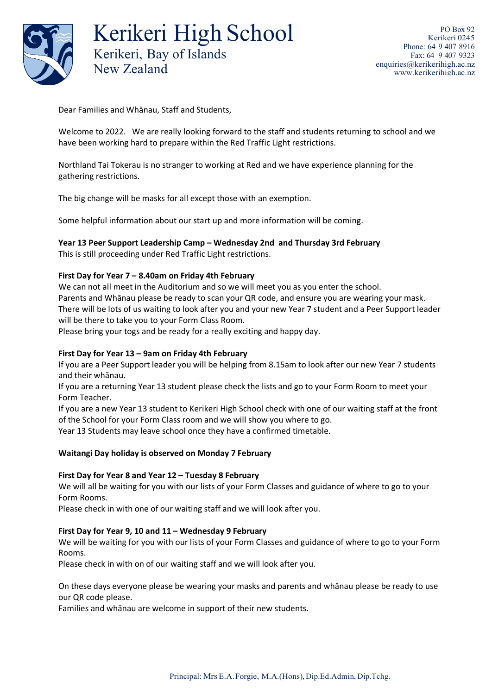

Kerikeri High School Kerikeri, Bay of Islands New Zealand

Dear Families and Whānau, Staff and Students,

Welcome to 2022. We are really looking forward to the staff and students returning to school and we have been working hard to prepare within the Red Traffic Light restrictions.

Northland Tai Tokerau is no stranger to working at Red and we have experience planning for the gathering restrictions.

The big change will be masks for all except those with an exemption.

Some helpful information about our start up and more information will be coming.

# **Year 13 Peer Support Leadership Camp – Wednesday 2nd and Thursday 3rd February**

This is still proceeding under Red Traffic Light restrictions.

## **First Day for Year 7 – 8.40am on Friday 4th February**

We can not all meet in the Auditorium and so we will meet you as you enter the school. Parents and Whānau please be ready to scan your QR code, and ensure you are wearing your mask. There will be lots of us waiting to look after you and your new Year 7 student and a Peer Support leader will be there to take you to your Form Class Room.

Please bring your togs and be ready for a really exciting and happy day.

## **First Day for Year 13 – 9am on Friday 4th February**

If you are a Peer Support leader you will be helping from 8.15am to look after our new Year 7 students and their whānau.

If you are a returning Year 13 student please check the lists and go to your Form Room to meet your Form Teacher.

If you are a new Year 13 student to Kerikeri High School check with one of our waiting staff at the front of the School for your Form Class room and we will show you where to go.

Year 13 Students may leave school once they have a confirmed timetable.

## **Waitangi Day holiday is observed on Monday 7 February**

## **First Day for Year 8 and Year 12 – Tuesday 8 February**

We will all be waiting for you with our lists of your Form Classes and guidance of where to go to your Form Rooms.

Please check in with one of our waiting staff and we will look after you.

## **First Day for Year 9, 10 and 11 – Wednesday 9 February**

We will be waiting for you with our lists of your Form Classes and guidance of where to go to your Form Rooms.

Please check in with on of our waiting staff and we will look after you.

On these days everyone please be wearing your masks and parents and whānau please be ready to use our QR code please.

Families and whānau are welcome in support of their new students.